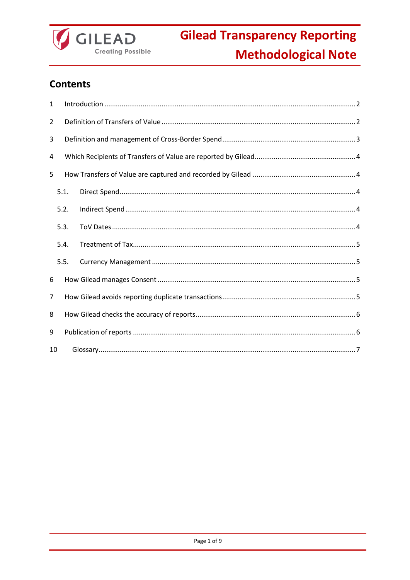

## **Contents**

| 1  |      |  |  |  |  |
|----|------|--|--|--|--|
| 2  |      |  |  |  |  |
| 3  |      |  |  |  |  |
| 4  |      |  |  |  |  |
| 5  |      |  |  |  |  |
|    | 5.1. |  |  |  |  |
|    | 5.2. |  |  |  |  |
|    | 5.3. |  |  |  |  |
|    | 5.4. |  |  |  |  |
|    | 5.5. |  |  |  |  |
| 6  |      |  |  |  |  |
| 7  |      |  |  |  |  |
| 8  |      |  |  |  |  |
| 9  |      |  |  |  |  |
| 10 |      |  |  |  |  |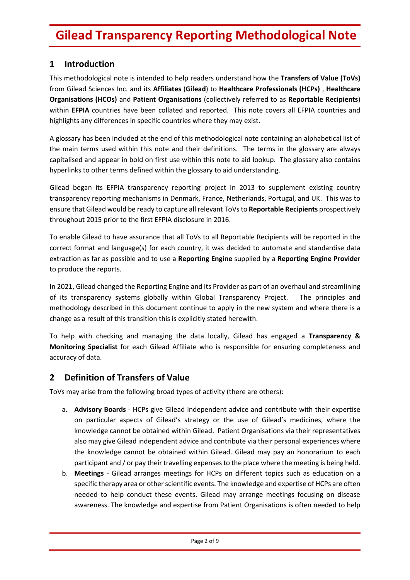## <span id="page-1-0"></span>**1 Introduction**

This methodological note is intended to help readers understand how the **Transfers of Value (ToVs)** from Gilead Sciences Inc. and its **Affiliates** (**Gilead**) to **Healthcare Professionals (HCPs)** , **Healthcare Organisations (HCOs)** and **Patient Organisations** (collectively referred to as **Reportable Recipients**) within **EFPIA** countries have been collated and reported. This note covers all EFPIA countries and highlights any differences in specific countries where they may exist.

A glossary has been included at the end of this methodological note containing an alphabetical list of the main terms used within this note and their definitions. The terms in the glossary are always capitalised and appear in bold on first use within this note to aid lookup. The glossary also contains hyperlinks to other terms defined within the glossary to aid understanding.

Gilead began its EFPIA transparency reporting project in 2013 to supplement existing country transparency reporting mechanisms in Denmark, France, Netherlands, Portugal, and UK. This was to ensure that Gilead would be ready to capture all relevant ToVsto **Reportable Recipients** prospectively throughout 2015 prior to the first EFPIA disclosure in 2016.

To enable Gilead to have assurance that all ToVs to all Reportable Recipients will be reported in the correct format and language(s) for each country, it was decided to automate and standardise data extraction as far as possible and to use a **Reporting Engine** supplied by a **Reporting Engine Provider** to produce the reports.

In 2021, Gilead changed the Reporting Engine and its Provider as part of an overhaul and streamlining of its transparency systems globally within Global Transparency Project. The principles and methodology described in this document continue to apply in the new system and where there is a change as a result of this transition this is explicitly stated herewith.

To help with checking and managing the data locally, Gilead has engaged a **Transparency & Monitoring Specialist** for each Gilead Affiliate who is responsible for ensuring completeness and accuracy of data.

### <span id="page-1-1"></span>**2 Definition of Transfers of Value**

ToVs may arise from the following broad types of activity (there are others):

- a. **Advisory Boards** HCPs give Gilead independent advice and contribute with their expertise on particular aspects of Gilead's strategy or the use of Gilead's medicines, where the knowledge cannot be obtained within Gilead. Patient Organisations via their representatives also may give Gilead independent advice and contribute via their personal experiences where the knowledge cannot be obtained within Gilead. Gilead may pay an honorarium to each participant and / or pay their travelling expenses to the place where the meeting is being held.
- b. **Meetings** Gilead arranges meetings for HCPs on different topics such as education on a specific therapy area or other scientific events. The knowledge and expertise of HCPs are often needed to help conduct these events. Gilead may arrange meetings focusing on disease awareness. The knowledge and expertise from Patient Organisations is often needed to help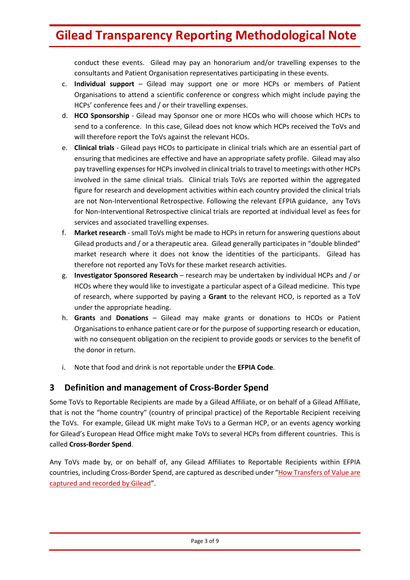conduct these events. Gilead may pay an honorarium and/or travelling expenses to the consultants and Patient Organisation representatives participating in these events.

- c. **Individual support** Gilead may support one or more HCPs or members of Patient Organisations to attend a scientific conference or congress which might include paying the HCPs' conference fees and / or their travelling expenses.
- d. **HCO Sponsorship** Gilead may Sponsor one or more HCOs who will choose which HCPs to send to a conference. In this case, Gilead does not know which HCPs received the ToVs and will therefore report the ToVs against the relevant HCOs.
- e. **Clinical trials** Gilead pays HCOs to participate in clinical trials which are an essential part of ensuring that medicines are effective and have an appropriate safety profile. Gilead may also pay travelling expenses for HCPs involved in clinical trials to travel to meetings with other HCPs involved in the same clinical trials. Clinical trials ToVs are reported within the aggregated figure for research and development activities within each country provided the clinical trials are not Non-Interventional Retrospective. Following the relevant EFPIA guidance, any ToVs for Non-Interventional Retrospective clinical trials are reported at individual level as fees for services and associated travelling expenses.
- f. **Market research** small ToVs might be made to HCPs in return for answering questions about Gilead products and / or a therapeutic area. Gilead generally participates in "double blinded" market research where it does not know the identities of the participants. Gilead has therefore not reported any ToVs for these market research activities.
- g. **Investigator Sponsored Research** research may be undertaken by individual HCPs and / or HCOs where they would like to investigate a particular aspect of a Gilead medicine. This type of research, where supported by paying a **Grant** to the relevant HCO, is reported as a ToV under the appropriate heading.
- h. **Grants** and **Donations** Gilead may make grants or donations to HCOs or Patient Organisations to enhance patient care or for the purpose of supporting research or education, with no consequent obligation on the recipient to provide goods or services to the benefit of the donor in return.
- i. Note that food and drink is not reportable under the **EFPIA Code**.

## <span id="page-2-0"></span>**3 Definition and management of Cross-Border Spend**

Some ToVs to Reportable Recipients are made by a Gilead Affiliate, or on behalf of a Gilead Affiliate, that is not the "home country" (country of principal practice) of the Reportable Recipient receiving the ToVs. For example, Gilead UK might make ToVs to a German HCP, or an events agency working for Gilead's European Head Office might make ToVs to several HCPs from different countries. This is called **Cross-Border Spend**.

Any ToVs made by, or on behalf of, any Gilead Affiliates to Reportable Recipients within EFPIA countries, including Cross-Border Spend, are captured as described under "How Transfers of Value are [captured and recorded by Gilead](#page-3-1)".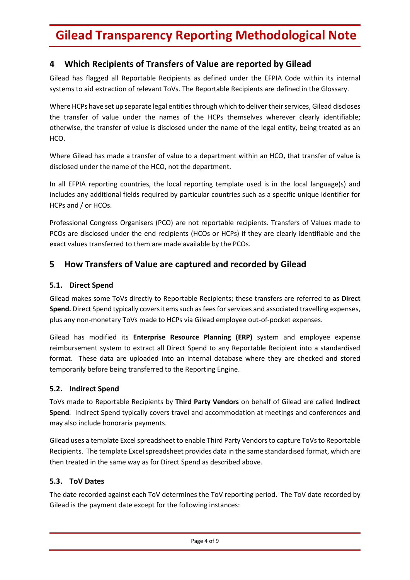## <span id="page-3-0"></span>**4 Which Recipients of Transfers of Value are reported by Gilead**

Gilead has flagged all Reportable Recipients as defined under the EFPIA Code within its internal systems to aid extraction of relevant ToVs. The Reportable Recipients are defined in the Glossary.

Where HCPs have set up separate legal entities through which to deliver their services, Gilead discloses the transfer of value under the names of the HCPs themselves wherever clearly identifiable; otherwise, the transfer of value is disclosed under the name of the legal entity, being treated as an HCO.

Where Gilead has made a transfer of value to a department within an HCO, that transfer of value is disclosed under the name of the HCO, not the department.

In all EFPIA reporting countries, the local reporting template used is in the local language(s) and includes any additional fields required by particular countries such as a specific unique identifier for HCPs and / or HCOs.

Professional Congress Organisers (PCO) are not reportable recipients. Transfers of Values made to PCOs are disclosed under the end recipients (HCOs or HCPs) if they are clearly identifiable and the exact values transferred to them are made available by the PCOs.

## <span id="page-3-1"></span>**5 How Transfers of Value are captured and recorded by Gilead**

#### <span id="page-3-2"></span>**5.1. Direct Spend**

Gilead makes some ToVs directly to Reportable Recipients; these transfers are referred to as **Direct Spend.** Direct Spend typically covers items such as fees for services and associated travelling expenses, plus any non-monetary ToVs made to HCPs via Gilead employee out-of-pocket expenses.

Gilead has modified its **Enterprise Resource Planning (ERP)** system and employee expense reimbursement system to extract all Direct Spend to any Reportable Recipient into a standardised format. These data are uploaded into an internal database where they are checked and stored temporarily before being transferred to the Reporting Engine.

#### <span id="page-3-3"></span>**5.2. Indirect Spend**

ToVs made to Reportable Recipients by **Third Party Vendors** on behalf of Gilead are called **Indirect Spend**. Indirect Spend typically covers travel and accommodation at meetings and conferences and may also include honoraria payments.

Gilead uses a template Excel spreadsheet to enable Third Party Vendors to capture ToVsto Reportable Recipients. The template Excel spreadsheet provides data in the same standardised format, which are then treated in the same way as for Direct Spend as described above.

#### <span id="page-3-4"></span>**5.3. ToV Dates**

The date recorded against each ToV determines the ToV reporting period. The ToV date recorded by Gilead is the payment date except for the following instances: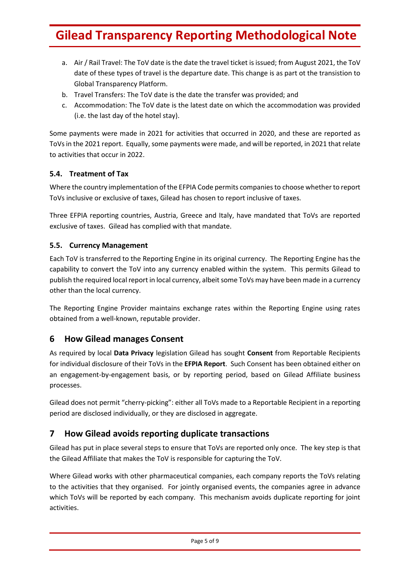- a. Air / Rail Travel: The ToV date is the date the travel ticket is issued; from August 2021, the ToV date of these types of travel is the departure date. This change is as part ot the transistion to Global Transparency Platform.
- b. Travel Transfers: The ToV date is the date the transfer was provided; and
- c. Accommodation: The ToV date is the latest date on which the accommodation was provided (i.e. the last day of the hotel stay).

Some payments were made in 2021 for activities that occurred in 2020, and these are reported as ToVs in the 2021 report. Equally, some payments were made, and will be reported, in 2021 that relate to activities that occur in 2022.

#### <span id="page-4-0"></span>**5.4. Treatment of Tax**

Where the country implementation of the EFPIA Code permits companies to choose whether to report ToVs inclusive or exclusive of taxes, Gilead has chosen to report inclusive of taxes.

Three EFPIA reporting countries, Austria, Greece and Italy, have mandated that ToVs are reported exclusive of taxes. Gilead has complied with that mandate.

#### <span id="page-4-1"></span>**5.5. Currency Management**

Each ToV is transferred to the Reporting Engine in its original currency. The Reporting Engine has the capability to convert the ToV into any currency enabled within the system. This permits Gilead to publish the required local report in local currency, albeit some ToVs may have been made in a currency other than the local currency.

The Reporting Engine Provider maintains exchange rates within the Reporting Engine using rates obtained from a well-known, reputable provider.

### <span id="page-4-2"></span>**6 How Gilead manages Consent**

As required by local **Data Privacy** legislation Gilead has sought **Consent** from Reportable Recipients for individual disclosure of their ToVs in the **EFPIA Report**. Such Consent has been obtained either on an engagement-by-engagement basis, or by reporting period, based on Gilead Affiliate business processes.

Gilead does not permit "cherry-picking": either all ToVs made to a Reportable Recipient in a reporting period are disclosed individually, or they are disclosed in aggregate.

### <span id="page-4-3"></span>**7 How Gilead avoids reporting duplicate transactions**

Gilead has put in place several steps to ensure that ToVs are reported only once. The key step is that the Gilead Affiliate that makes the ToV is responsible for capturing the ToV.

Where Gilead works with other pharmaceutical companies, each company reports the ToVs relating to the activities that they organised. For jointly organised events, the companies agree in advance which ToVs will be reported by each company. This mechanism avoids duplicate reporting for joint activities.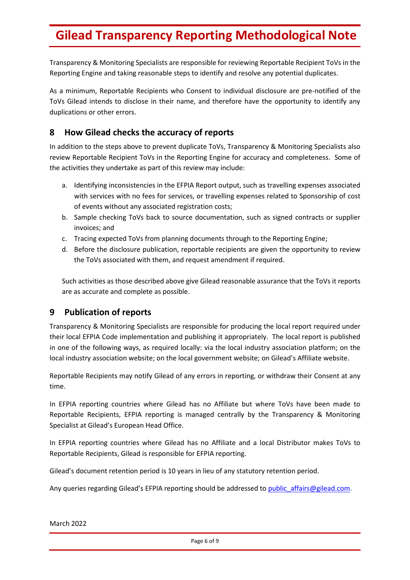Transparency & Monitoring Specialists are responsible for reviewing Reportable Recipient ToVs in the Reporting Engine and taking reasonable steps to identify and resolve any potential duplicates.

As a minimum, Reportable Recipients who Consent to individual disclosure are pre-notified of the ToVs Gilead intends to disclose in their name, and therefore have the opportunity to identify any duplications or other errors.

### <span id="page-5-0"></span>**8 How Gilead checks the accuracy of reports**

In addition to the steps above to prevent duplicate ToVs, Transparency & Monitoring Specialists also review Reportable Recipient ToVs in the Reporting Engine for accuracy and completeness. Some of the activities they undertake as part of this review may include:

- a. Identifying inconsistencies in the EFPIA Report output, such as travelling expenses associated with services with no fees for services, or travelling expenses related to Sponsorship of cost of events without any associated registration costs;
- b. Sample checking ToVs back to source documentation, such as signed contracts or supplier invoices; and
- c. Tracing expected ToVs from planning documents through to the Reporting Engine;
- d. Before the disclosure publication, reportable recipients are given the opportunity to review the ToVs associated with them, and request amendment if required.

Such activities as those described above give Gilead reasonable assurance that the ToVs it reports are as accurate and complete as possible.

### <span id="page-5-1"></span>**9 Publication of reports**

Transparency & Monitoring Specialists are responsible for producing the local report required under their local EFPIA Code implementation and publishing it appropriately. The local report is published in one of the following ways, as required locally: via the local industry association platform; on the local industry association website; on the local government website; on Gilead's Affiliate website.

Reportable Recipients may notify Gilead of any errors in reporting, or withdraw their Consent at any time.

In EFPIA reporting countries where Gilead has no Affiliate but where ToVs have been made to Reportable Recipients, EFPIA reporting is managed centrally by the Transparency & Monitoring Specialist at Gilead's European Head Office.

In EFPIA reporting countries where Gilead has no Affiliate and a local Distributor makes ToVs to Reportable Recipients, Gilead is responsible for EFPIA reporting.

Gilead's document retention period is 10 years in lieu of any statutory retention period.

Any queries regarding Gilead's EFPIA reporting should be addressed to public affairs@gilead.com.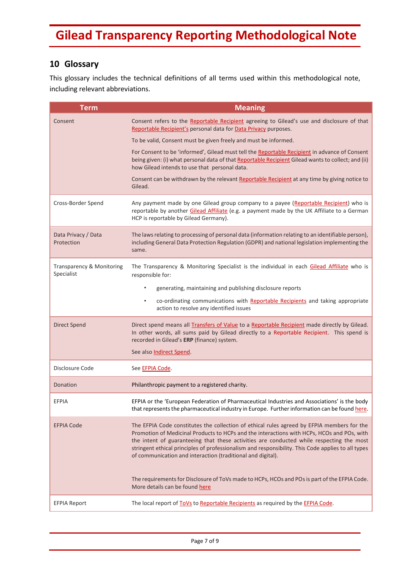## <span id="page-6-0"></span>**10 Glossary**

This glossary includes the technical definitions of all terms used within this methodological note, including relevant abbreviations.

<span id="page-6-4"></span><span id="page-6-3"></span><span id="page-6-2"></span><span id="page-6-1"></span>

| <b>Term</b>                             | <b>Meaning</b>                                                                                                                                                                                                                                                                                                                                                                                                                                            |
|-----------------------------------------|-----------------------------------------------------------------------------------------------------------------------------------------------------------------------------------------------------------------------------------------------------------------------------------------------------------------------------------------------------------------------------------------------------------------------------------------------------------|
| Consent                                 | Consent refers to the Reportable Recipient agreeing to Gilead's use and disclosure of that<br>Reportable Recipient's personal data for Data Privacy purposes.                                                                                                                                                                                                                                                                                             |
|                                         | To be valid, Consent must be given freely and must be informed.                                                                                                                                                                                                                                                                                                                                                                                           |
|                                         | For Consent to be 'informed', Gilead must tell the Reportable Recipient in advance of Consent<br>being given: (i) what personal data of that Reportable Recipient Gilead wants to collect; and (ii)<br>how Gilead intends to use that personal data.                                                                                                                                                                                                      |
|                                         | Consent can be withdrawn by the relevant Reportable Recipient at any time by giving notice to<br>Gilead.                                                                                                                                                                                                                                                                                                                                                  |
| Cross-Border Spend                      | Any payment made by one Gilead group company to a payee (Reportable Recipient) who is<br>reportable by another Gilead Affiliate (e.g. a payment made by the UK Affiliate to a German<br>HCP is reportable by Gilead Germany).                                                                                                                                                                                                                             |
| Data Privacy / Data<br>Protection       | The laws relating to processing of personal data (information relating to an identifiable person),<br>including General Data Protection Regulation (GDPR) and national legislation implementing the<br>same.                                                                                                                                                                                                                                              |
| Transparency & Monitoring<br>Specialist | The Transparency & Monitoring Specialist is the individual in each Gilead Affiliate who is<br>responsible for:                                                                                                                                                                                                                                                                                                                                            |
|                                         | generating, maintaining and publishing disclosure reports<br>$\bullet$                                                                                                                                                                                                                                                                                                                                                                                    |
|                                         | co-ordinating communications with Reportable Recipients and taking appropriate<br>$\bullet$<br>action to resolve any identified issues                                                                                                                                                                                                                                                                                                                    |
| <b>Direct Spend</b>                     | Direct spend means all <b>Transfers of Value</b> to a Reportable Recipient made directly by Gilead.<br>In other words, all sums paid by Gilead directly to a Reportable Recipient. This spend is<br>recorded in Gilead's ERP (finance) system.                                                                                                                                                                                                            |
|                                         | See also Indirect Spend.                                                                                                                                                                                                                                                                                                                                                                                                                                  |
| Disclosure Code                         | See EFPIA Code.                                                                                                                                                                                                                                                                                                                                                                                                                                           |
| Donation                                | Philanthropic payment to a registered charity.                                                                                                                                                                                                                                                                                                                                                                                                            |
| <b>EFPIA</b>                            | EFPIA or the 'European Federation of Pharmaceutical Industries and Associations' is the body<br>that represents the pharmaceutical industry in Europe. Further information can be found here.                                                                                                                                                                                                                                                             |
| <b>EFPIA Code</b>                       | The EFPIA Code constitutes the collection of ethical rules agreed by EFPIA members for the<br>Promotion of Medicinal Products to HCPs and the interactions with HCPs, HCOs and POs, with<br>the intent of guaranteeing that these activities are conducted while respecting the most<br>stringent ethical principles of professionalism and responsibility. This Code applies to all types<br>of communication and interaction (traditional and digital). |
|                                         | The requirements for Disclosure of ToVs made to HCPs, HCOs and POs is part of the EFPIA Code.<br>More details can be found here                                                                                                                                                                                                                                                                                                                           |
| <b>EFPIA Report</b>                     | The local report of ToVs to Reportable Recipients as required by the EFPIA Code.                                                                                                                                                                                                                                                                                                                                                                          |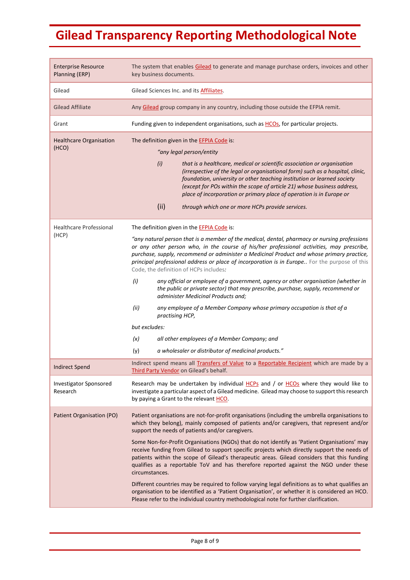<span id="page-7-4"></span><span id="page-7-3"></span><span id="page-7-2"></span><span id="page-7-1"></span><span id="page-7-0"></span>

| <b>Enterprise Resource</b><br>Planning (ERP) | The system that enables Gilead to generate and manage purchase orders, invoices and other<br>key business documents.                                                                                                                                                                                                                                                                                                              |
|----------------------------------------------|-----------------------------------------------------------------------------------------------------------------------------------------------------------------------------------------------------------------------------------------------------------------------------------------------------------------------------------------------------------------------------------------------------------------------------------|
| Gilead                                       | Gilead Sciences Inc. and its <b>Affiliates</b> .                                                                                                                                                                                                                                                                                                                                                                                  |
| <b>Gilead Affiliate</b>                      | Any Gilead group company in any country, including those outside the EFPIA remit.                                                                                                                                                                                                                                                                                                                                                 |
| Grant                                        | Funding given to independent organisations, such as HCOs, for particular projects.                                                                                                                                                                                                                                                                                                                                                |
| <b>Healthcare Organisation</b>               | The definition given in the EFPIA Code is:                                                                                                                                                                                                                                                                                                                                                                                        |
| (HCO)                                        | "any legal person/entity                                                                                                                                                                                                                                                                                                                                                                                                          |
|                                              | (i)<br>that is a healthcare, medical or scientific association or organisation<br>(irrespective of the legal or organisational form) such as a hospital, clinic,<br>foundation, university or other teaching institution or learned society<br>(except for POs within the scope of article 21) whose business address,<br>place of incorporation or primary place of operation is in Europe or                                    |
|                                              | (ii)<br>through which one or more HCPs provide services.                                                                                                                                                                                                                                                                                                                                                                          |
| <b>Healthcare Professional</b>               | The definition given in the EFPIA Code is:                                                                                                                                                                                                                                                                                                                                                                                        |
| (HCP)                                        | "any natural person that is a member of the medical, dental, pharmacy or nursing professions<br>or any other person who, in the course of his/her professional activities, may prescribe,<br>purchase, supply, recommend or administer a Medicinal Product and whose primary practice,<br>principal professional address or place of incorporation is in Europe For the purpose of this<br>Code, the definition of HCPs includes: |
|                                              | (i)<br>any official or employee of a government, agency or other organisation (whether in<br>the public or private sector) that may prescribe, purchase, supply, recommend or<br>administer Medicinal Products and;                                                                                                                                                                                                               |
|                                              | (ii)<br>any employee of a Member Company whose primary occupation is that of a<br>practising HCP,                                                                                                                                                                                                                                                                                                                                 |
|                                              | but excludes:                                                                                                                                                                                                                                                                                                                                                                                                                     |
|                                              | (x)<br>all other employees of a Member Company; and                                                                                                                                                                                                                                                                                                                                                                               |
|                                              | a wholesaler or distributor of medicinal products."<br>(y)                                                                                                                                                                                                                                                                                                                                                                        |
| <b>Indirect Spend</b>                        | Indirect spend means all Transfers of Value to a Reportable Recipient which are made by a<br>Third Party Vendor on Gilead's behalf.                                                                                                                                                                                                                                                                                               |
| <b>Investigator Sponsored</b><br>Research    | Research may be undertaken by individual HCPs and / or HCOs where they would like to<br>investigate a particular aspect of a Gilead medicine. Gilead may choose to support this research<br>by paying a Grant to the relevant HCO.                                                                                                                                                                                                |
| Patient Organisation (PO)                    | Patient organisations are not-for-profit organisations (including the umbrella organisations to<br>which they belong), mainly composed of patients and/or caregivers, that represent and/or<br>support the needs of patients and/or caregivers.                                                                                                                                                                                   |
|                                              | Some Non-for-Profit Organisations (NGOs) that do not identify as 'Patient Organisations' may<br>receive funding from Gilead to support specific projects which directly support the needs of<br>patients within the scope of Gilead's therapeutic areas. Gilead considers that this funding<br>qualifies as a reportable ToV and has therefore reported against the NGO under these<br>circumstances.                             |
|                                              | Different countries may be required to follow varying legal definitions as to what qualifies an<br>organisation to be identified as a 'Patient Organisation', or whether it is considered an HCO.<br>Please refer to the individual country methodological note for further clarification.                                                                                                                                        |